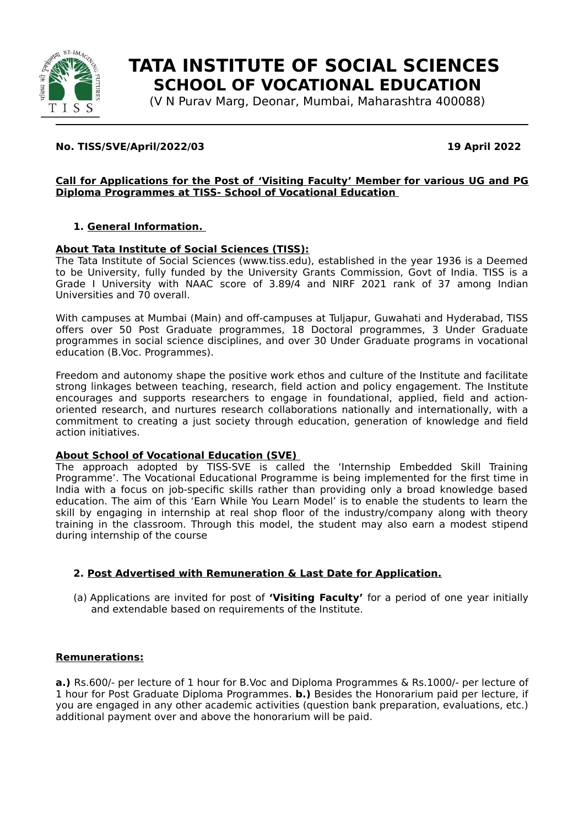

# **TATA INSTITUTE OF SOCIAL SCIENCES SCHOOL OF VOCATIONAL EDUCATION**

(V N Purav Marg, Deonar, Mumbai, Maharashtra 400088)

# **No. TISS/SVE/April/2022/03 19 April 2022**

#### **Call for Applications for the Post of ' Visiting Faculty ' Member for various UG and PG Diploma Programmes at TISS- School of Vocational Education**

# **1. General Information.**

# **About Tata Institute of Social Sciences (TISS):**

The Tata Institute of Social Sciences (www.tiss.edu), established in the year 1936 is a Deemed to be University, fully funded by the University Grants Commission, Govt of India. TISS is a Grade I University with NAAC score of 3.89/4 and NIRF 2021 rank of 37 among Indian Universities and 70 overall.

With campuses at Mumbai (Main) and off-campuses at Tuljapur, Guwahati and Hyderabad, TISS offers over 50 Post Graduate programmes, 18 Doctoral programmes, 3 Under Graduate programmes in social science disciplines, and over 30 Under Graduate programs in vocational education (B.Voc. Programmes).

Freedom and autonomy shape the positive work ethos and culture of the Institute and facilitate strong linkages between teaching, research, field action and policy engagement. The Institute encourages and supports researchers to engage in foundational, applied, field and actionoriented research, and nurtures research collaborations nationally and internationally, with a commitment to creating a just society through education, generation of knowledge and field action initiatives.

# **About School of Vocational Education (SVE)**

The approach adopted by TISS-SVE is called the 'Internship Embedded Skill Training Programme'. The Vocational Educational Programme is being implemented for the first time in India with a focus on job-specific skills rather than providing only a broad knowledge based education. The aim of this 'Earn While You Learn Model' is to enable the students to learn the skill by engaging in internship at real shop floor of the industry/company along with theory training in the classroom. Through this model, the student may also earn a modest stipend during internship of the course

# **2. Post Advertised with Remuneration & Last Date for Application.**

(a) Applications are invited for post of **'Visiting Faculty'** for a period of one year initially and extendable based on requirements of the Institute.

# **Remunerations:**

**a.)** Rs.600/- per lecture of 1 hour for B.Voc and Diploma Programmes & Rs.1000/- per lecture of 1 hour for Post Graduate Diploma Programmes. **b.)** Besides the Honorarium paid per lecture, if you are engaged in any other academic activities (question bank preparation, evaluations, etc.) additional payment over and above the honorarium will be paid.